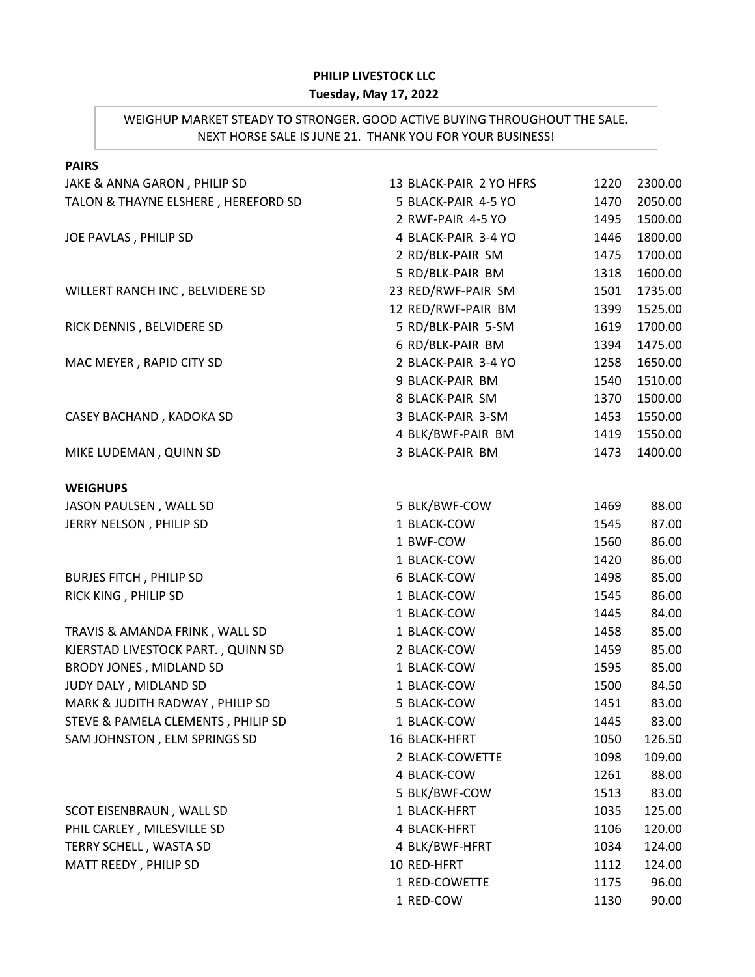## **PHILIP LIVESTOCK LLC**

## **Tuesday, May 17, 2022**

## WEIGHUP MARKET STEADY TO STRONGER. GOOD ACTIVE BUYING THROUGHOUT THE SALE. NEXT HORSE SALE IS JUNE 21. THANK YOU FOR YOUR BUSINESS!

| <b>PAIRS</b>                        |                         |      |         |
|-------------------------------------|-------------------------|------|---------|
| JAKE & ANNA GARON, PHILIP SD        | 13 BLACK-PAIR 2 YO HFRS | 1220 | 2300.00 |
| TALON & THAYNE ELSHERE, HEREFORD SD | 5 BLACK-PAIR 4-5 YO     | 1470 | 2050.00 |
|                                     | 2 RWF-PAIR 4-5 YO       | 1495 | 1500.00 |
| JOE PAVLAS, PHILIP SD               | 4 BLACK-PAIR 3-4 YO     | 1446 | 1800.00 |
|                                     | 2 RD/BLK-PAIR SM        | 1475 | 1700.00 |
|                                     | 5 RD/BLK-PAIR BM        | 1318 | 1600.00 |
| WILLERT RANCH INC, BELVIDERE SD     | 23 RED/RWF-PAIR SM      | 1501 | 1735.00 |
|                                     | 12 RED/RWF-PAIR BM      | 1399 | 1525.00 |
| RICK DENNIS, BELVIDERE SD           | 5 RD/BLK-PAIR 5-SM      | 1619 | 1700.00 |
|                                     | 6 RD/BLK-PAIR BM        | 1394 | 1475.00 |
| MAC MEYER, RAPID CITY SD            | 2 BLACK-PAIR 3-4 YO     | 1258 | 1650.00 |
|                                     | 9 BLACK-PAIR BM         | 1540 | 1510.00 |
|                                     | 8 BLACK-PAIR SM         | 1370 | 1500.00 |
| CASEY BACHAND, KADOKA SD            | 3 BLACK-PAIR 3-SM       | 1453 | 1550.00 |
|                                     | 4 BLK/BWF-PAIR BM       | 1419 | 1550.00 |
| MIKE LUDEMAN, QUINN SD              | 3 BLACK-PAIR BM         | 1473 | 1400.00 |
| <b>WEIGHUPS</b>                     |                         |      |         |
| JASON PAULSEN, WALL SD              | 5 BLK/BWF-COW           | 1469 | 88.00   |
| JERRY NELSON, PHILIP SD             | 1 BLACK-COW             | 1545 | 87.00   |
|                                     | 1 BWF-COW               | 1560 | 86.00   |
|                                     | 1 BLACK-COW             | 1420 | 86.00   |
| <b>BURJES FITCH, PHILIP SD</b>      | 6 BLACK-COW             | 1498 | 85.00   |
| RICK KING, PHILIP SD                | 1 BLACK-COW             | 1545 | 86.00   |
|                                     | 1 BLACK-COW             | 1445 | 84.00   |
| TRAVIS & AMANDA FRINK, WALL SD      | 1 BLACK-COW             | 1458 | 85.00   |
| KJERSTAD LIVESTOCK PART., QUINN SD  | 2 BLACK-COW             | 1459 | 85.00   |
| BRODY JONES, MIDLAND SD             | 1 BLACK-COW             | 1595 | 85.00   |
| JUDY DALY, MIDLAND SD               | 1 BLACK-COW             | 1500 | 84.50   |
| MARK & JUDITH RADWAY, PHILIP SD     | 5 BLACK-COW             | 1451 | 83.00   |
| STEVE & PAMELA CLEMENTS, PHILIP SD  | 1 BLACK-COW             | 1445 | 83.00   |
| SAM JOHNSTON, ELM SPRINGS SD        | 16 BLACK-HFRT           | 1050 | 126.50  |
|                                     | 2 BLACK-COWETTE         | 1098 | 109.00  |
|                                     | 4 BLACK-COW             | 1261 | 88.00   |
|                                     | 5 BLK/BWF-COW           | 1513 | 83.00   |
| SCOT EISENBRAUN, WALL SD            | 1 BLACK-HFRT            | 1035 | 125.00  |
| PHIL CARLEY, MILESVILLE SD          | 4 BLACK-HFRT            | 1106 | 120.00  |
| TERRY SCHELL, WASTA SD              | 4 BLK/BWF-HFRT          | 1034 | 124.00  |
| MATT REEDY, PHILIP SD               | 10 RED-HFRT             | 1112 | 124.00  |
|                                     | 1 RED-COWETTE           | 1175 | 96.00   |
|                                     | 1 RED-COW               | 1130 | 90.00   |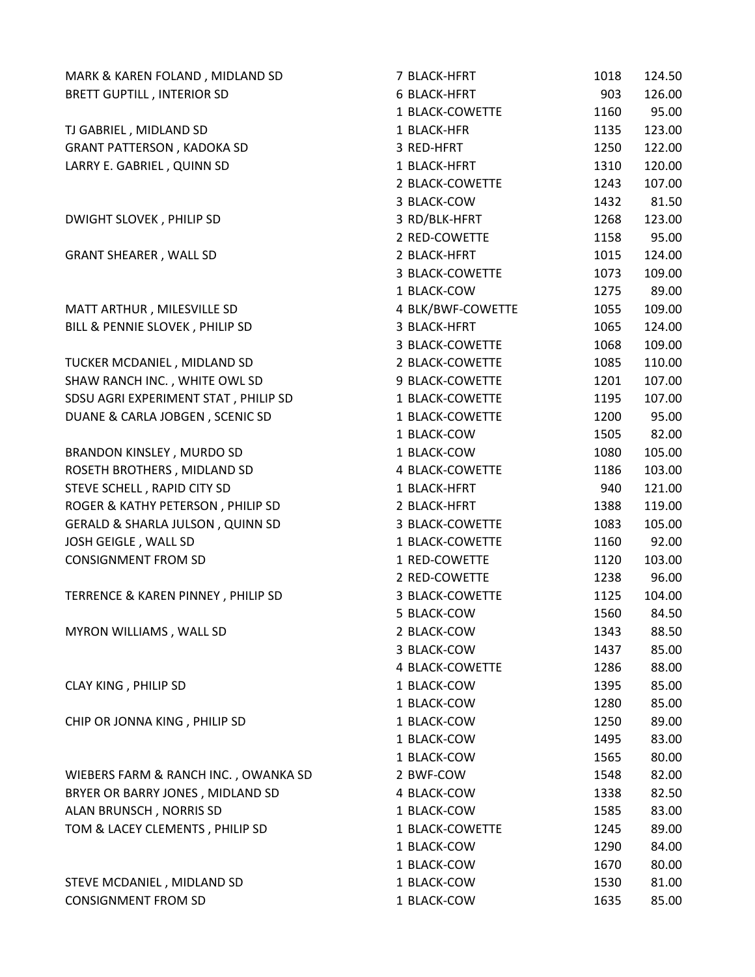| MARK & KAREN FOLAND, MIDLAND SD      | 7 BLACK-HFRT        | 1018 | 124.50 |
|--------------------------------------|---------------------|------|--------|
| <b>BRETT GUPTILL, INTERIOR SD</b>    | <b>6 BLACK-HFRT</b> | 903  | 126.00 |
|                                      | 1 BLACK-COWETTE     | 1160 | 95.00  |
| TJ GABRIEL, MIDLAND SD               | 1 BLACK-HFR         | 1135 | 123.00 |
| <b>GRANT PATTERSON, KADOKA SD</b>    | 3 RED-HFRT          | 1250 | 122.00 |
| LARRY E. GABRIEL, QUINN SD           | 1 BLACK-HFRT        | 1310 | 120.00 |
|                                      | 2 BLACK-COWETTE     | 1243 | 107.00 |
|                                      | 3 BLACK-COW         | 1432 | 81.50  |
| DWIGHT SLOVEK, PHILIP SD             | 3 RD/BLK-HFRT       | 1268 | 123.00 |
|                                      | 2 RED-COWETTE       | 1158 | 95.00  |
| <b>GRANT SHEARER, WALL SD</b>        | 2 BLACK-HFRT        | 1015 | 124.00 |
|                                      | 3 BLACK-COWETTE     | 1073 | 109.00 |
|                                      | 1 BLACK-COW         | 1275 | 89.00  |
| MATT ARTHUR, MILESVILLE SD           | 4 BLK/BWF-COWETTE   | 1055 | 109.00 |
| BILL & PENNIE SLOVEK, PHILIP SD      | 3 BLACK-HFRT        | 1065 | 124.00 |
|                                      | 3 BLACK-COWETTE     | 1068 | 109.00 |
| TUCKER MCDANIEL, MIDLAND SD          | 2 BLACK-COWETTE     | 1085 | 110.00 |
| SHAW RANCH INC., WHITE OWL SD        | 9 BLACK-COWETTE     | 1201 | 107.00 |
| SDSU AGRI EXPERIMENT STAT, PHILIP SD | 1 BLACK-COWETTE     | 1195 | 107.00 |
| DUANE & CARLA JOBGEN, SCENIC SD      | 1 BLACK-COWETTE     | 1200 | 95.00  |
|                                      | 1 BLACK-COW         | 1505 | 82.00  |
| BRANDON KINSLEY, MURDO SD            | 1 BLACK-COW         | 1080 | 105.00 |
| ROSETH BROTHERS, MIDLAND SD          | 4 BLACK-COWETTE     | 1186 | 103.00 |
| STEVE SCHELL, RAPID CITY SD          | 1 BLACK-HFRT        | 940  | 121.00 |
| ROGER & KATHY PETERSON, PHILIP SD    | 2 BLACK-HFRT        | 1388 | 119.00 |
| GERALD & SHARLA JULSON, QUINN SD     | 3 BLACK-COWETTE     | 1083 | 105.00 |
| JOSH GEIGLE, WALL SD                 | 1 BLACK-COWETTE     | 1160 | 92.00  |
| <b>CONSIGNMENT FROM SD</b>           | 1 RED-COWETTE       | 1120 | 103.00 |
|                                      | 2 RED-COWETTE       | 1238 | 96.00  |
| TERRENCE & KAREN PINNEY, PHILIP SD   | 3 BLACK-COWETTE     | 1125 | 104.00 |
|                                      | 5 BLACK-COW         | 1560 | 84.50  |
| MYRON WILLIAMS, WALL SD              | 2 BLACK-COW         | 1343 | 88.50  |
|                                      | 3 BLACK-COW         | 1437 | 85.00  |
|                                      | 4 BLACK-COWETTE     | 1286 | 88.00  |
| CLAY KING, PHILIP SD                 | 1 BLACK-COW         | 1395 | 85.00  |
|                                      | 1 BLACK-COW         | 1280 | 85.00  |
| CHIP OR JONNA KING, PHILIP SD        | 1 BLACK-COW         | 1250 | 89.00  |
|                                      | 1 BLACK-COW         | 1495 | 83.00  |
|                                      | 1 BLACK-COW         | 1565 | 80.00  |
| WIEBERS FARM & RANCH INC., OWANKA SD | 2 BWF-COW           | 1548 | 82.00  |
| BRYER OR BARRY JONES, MIDLAND SD     | 4 BLACK-COW         | 1338 | 82.50  |
| ALAN BRUNSCH, NORRIS SD              | 1 BLACK-COW         | 1585 | 83.00  |
| TOM & LACEY CLEMENTS, PHILIP SD      | 1 BLACK-COWETTE     | 1245 | 89.00  |
|                                      | 1 BLACK-COW         | 1290 | 84.00  |
|                                      | 1 BLACK-COW         | 1670 | 80.00  |
| STEVE MCDANIEL, MIDLAND SD           | 1 BLACK-COW         | 1530 | 81.00  |
| <b>CONSIGNMENT FROM SD</b>           | 1 BLACK-COW         | 1635 | 85.00  |